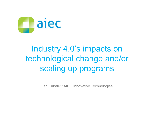

# Industry 4.0's impacts on technological change and/or scaling up programs

Jan Kubalik / AIEC Innovative Technologies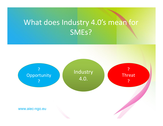### What does Industry 4.0's mean for SMEs?

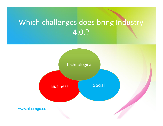## Which challenges does bring Industry 4.0.?

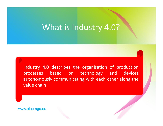#### What is Industry 4.0?

Industry 4.0 describes the organisation of production processes based on technology and devices autonomously communicating with each other along the value chain

www.aiec-ngo.eu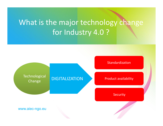#### What is the major technology change for Industry 4.0 ?

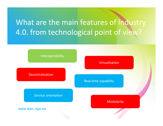#### What are the main features of Industry 4.0. from technological point of view?

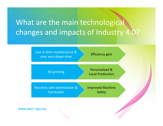#### What are the main technological changes and impacts of Industry 4.0?

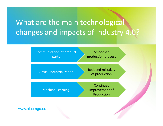#### What are the main technological changes and impacts of Industry 4.0?



www.aiec-ngo.eu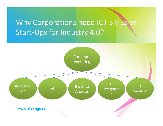#### Why Corporations need ICT SMEs or Start-Ups for Industry 4.0?

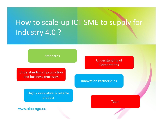### How to scale-up ICT SME to supply for Industry 4.0 ?